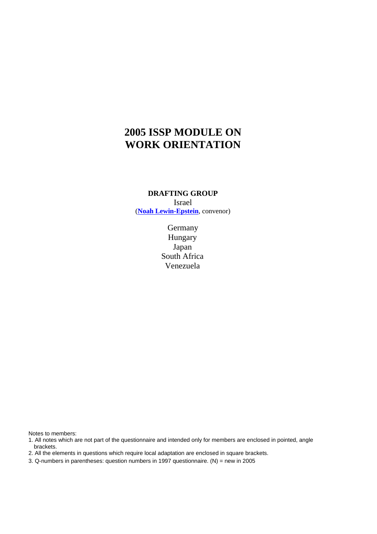# **2005 ISSP MODULE ON WORK ORIENTATION**

## **DRAFTING GROUP** Israel (**Noah Lewin-Epstein**, convenor)

**Germany** Hungary Japan South Africa Venezuela

Notes to members:

1. All notes which are not part of the questionnaire and intended only for members are enclosed in pointed, angle brackets.

2. All the elements in questions which require local adaptation are enclosed in square brackets.

3. Q-numbers in parentheses: question numbers in 1997 questionnaire. (N) = new in 2005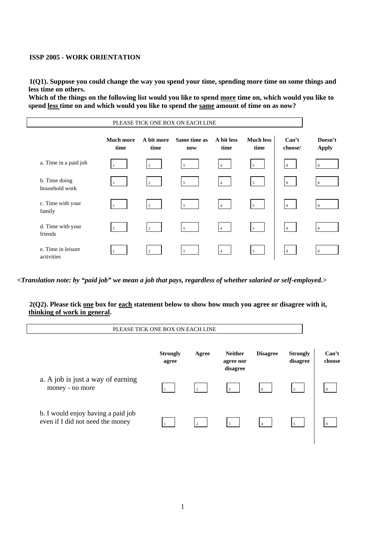#### **ISSP 2005 - WORK ORIENTATION**

**1(Q1). Suppose you could change the way you spend your time, spending more time on some things and less time on others.** 

**Which of the things on the following list would you like to spend more time on, which would you like to spend less time on and which would you like to spend the same amount of time on as now?** 

| PLEASE TICK ONE BOX ON EACH LINE |                          |                    |                     |                    |                          |                  |                         |  |
|----------------------------------|--------------------------|--------------------|---------------------|--------------------|--------------------------|------------------|-------------------------|--|
|                                  | <b>Much more</b><br>time | A bit more<br>time | Same time as<br>now | A bit less<br>time | <b>Much less</b><br>time | Can't<br>choose/ | Doesn't<br><b>Apply</b> |  |
| a. Time in a paid job            |                          | 2                  | $\overline{3}$      | $\overline{4}$     | 5                        | 8                | 8                       |  |
| b. Time doing<br>household work  |                          | $\overline{2}$     | $\overline{3}$      | $\overline{4}$     | $5\overline{5}$          | 8                | 8                       |  |
| c. Time with your<br>family      |                          | $\overline{2}$     | 3                   | $\overline{4}$     | $5\overline{5}$          | $8\,$            | 8                       |  |
| d. Time with your<br>friends     |                          | $\overline{2}$     | 3                   | $\overline{4}$     | $5\overline{5}$          | $8^{\circ}$      | 8                       |  |
| e. Time in leisure<br>activities |                          | $\overline{2}$     | $\overline{3}$      | $\overline{4}$     | $5\overline{5}$          | 8                | 8                       |  |

*<Translation note: by "paid job" we mean a job that pays, regardless of whether salaried or self-employed.>* 

#### **2(Q2). Please tick one box for each statement below to show how much you agree or disagree with it, thinking of work in general.**

|                                                                        | PLEASE TICK ONE BOX ON EACH LINE |                |                                         |                 |                             |                 |
|------------------------------------------------------------------------|----------------------------------|----------------|-----------------------------------------|-----------------|-----------------------------|-----------------|
|                                                                        | <b>Strongly</b><br>agree         | Agree          | <b>Neither</b><br>agree nor<br>disagree | <b>Disagree</b> | <b>Strongly</b><br>disagree | Can't<br>choose |
| a. A job is just a way of earning<br>money - no more                   |                                  | $\overline{2}$ | 3                                       | $\overline{4}$  | $\overline{5}$              | 8               |
| b. I would enjoy having a paid job<br>even if I did not need the money |                                  |                |                                         |                 | $\overline{5}$              | $\mathbf{R}$    |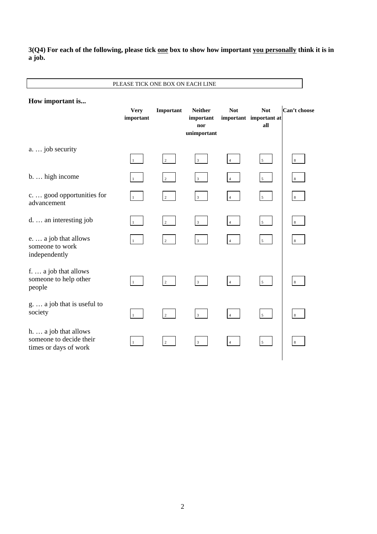**3(Q4) For each of the following, please tick one box to show how important you personally think it is in a job.** 

| How important is                                                          | <b>Very</b><br>important | Important      | <b>Neither</b><br>important | <b>Not</b>     | <b>Not</b><br>important important at | Can't choose |
|---------------------------------------------------------------------------|--------------------------|----------------|-----------------------------|----------------|--------------------------------------|--------------|
|                                                                           |                          |                | nor<br>unimportant          |                | all                                  |              |
| a.  job security                                                          | $\mathbf{1}$             | $\overline{2}$ | $\overline{3}$              | $\overline{4}$ | $5\overline{5}$                      | 8            |
| b.  high income                                                           |                          | $\overline{c}$ | $\overline{\mathbf{3}}$     | $\overline{4}$ | $\mathfrak{s}$                       | 8            |
| c.  good opportunities for<br>advancement                                 | $\mathbf{1}$             | $\overline{2}$ | $\overline{\mathbf{3}}$     | $\overline{4}$ | $5\overline{5}$                      | $8\,$        |
| d.  an interesting job                                                    | $\mathbf{1}$             | $\overline{c}$ | $\overline{3}$              | $\overline{4}$ | $5\overline{5}$                      | 8            |
| e.  a job that allows<br>someone to work<br>independently                 | 1                        | $\overline{c}$ | $\mathfrak z$               | $\overline{4}$ | $5\overline{ }$                      | $8\,$        |
| f.  a job that allows<br>someone to help other<br>people                  | $\mathbf{1}$             | $\overline{2}$ | $\overline{3}$              | $\overline{4}$ | $5\overline{)}$                      | $\,$ 8 $\,$  |
| g.  a job that is useful to<br>society                                    | $\mathbf{1}$             | $\sqrt{2}$     | $\sqrt{3}$                  | $\overline{4}$ | $5\overline{5}$                      | $\,8\,$      |
| h.  a job that allows<br>someone to decide their<br>times or days of work |                          | $\sqrt{2}$     | $\mathbf{3}$                | $\overline{4}$ | $\sqrt{5}$                           | $\,$ 8 $\,$  |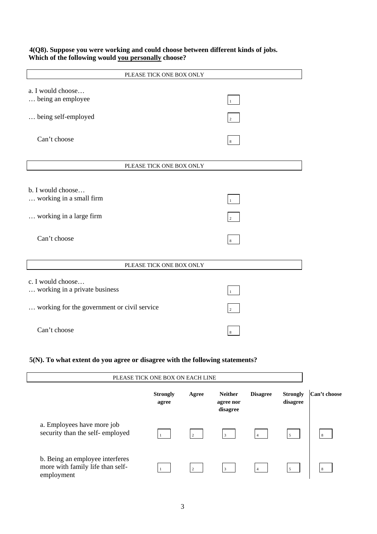**4(Q8). Suppose you were working and could choose between different kinds of jobs. Which of the following would you personally choose?** 

| PLEASE TICK ONE BOX ONLY                           |                |
|----------------------------------------------------|----------------|
| a. I would choose<br>being an employee             | $\mathbf{1}$   |
| being self-employed                                | $\overline{2}$ |
| Can't choose                                       | 8              |
| PLEASE TICK ONE BOX ONLY                           |                |
|                                                    |                |
| b. I would choose                                  |                |
| working in a small firm                            | $\mathbf{1}$   |
| working in a large firm                            | $\overline{2}$ |
| Can't choose                                       | $\,$ 8 $\,$    |
|                                                    |                |
| PLEASE TICK ONE BOX ONLY                           |                |
| c. I would choose<br>working in a private business | $\mathbf{1}$   |
| working for the government or civil service        | $\sqrt{2}$     |
| Can't choose                                       | 8              |

**5(N). To what extent do you agree or disagree with the following statements?** 

| PLEASE TICK ONE BOX ON EACH LINE                                                  |                          |                |                                         |                 |                             |                |
|-----------------------------------------------------------------------------------|--------------------------|----------------|-----------------------------------------|-----------------|-----------------------------|----------------|
|                                                                                   | <b>Strongly</b><br>agree | Agree          | <b>Neither</b><br>agree nor<br>disagree | <b>Disagree</b> | <b>Strongly</b><br>disagree | Can't choose   |
| a. Employees have more job<br>security than the self-employed                     |                          | $\overline{2}$ | $\mathcal{R}$                           |                 | $\overline{5}$              | $\overline{8}$ |
| b. Being an employee interferes<br>more with family life than self-<br>employment |                          | $\overline{2}$ | $\mathbf{3}$                            |                 | $\overline{\phantom{0}}$    | 8              |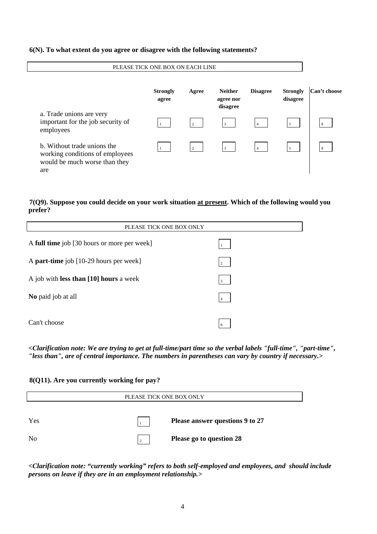#### **6(N). To what extent do you agree or disagree with the following statements?**

| PLEASE TICK ONE BOX ON EACH LINE                                                                       |                          |                |                                         |                 |                             |              |
|--------------------------------------------------------------------------------------------------------|--------------------------|----------------|-----------------------------------------|-----------------|-----------------------------|--------------|
|                                                                                                        | <b>Strongly</b><br>agree | Agree          | <b>Neither</b><br>agree nor<br>disagree | <b>Disagree</b> | <b>Strongly</b><br>disagree | Can't choose |
| a. Trade unions are very<br>important for the job security of<br>employees                             |                          | $\overline{2}$ |                                         |                 | 5                           | 8            |
| b. Without trade unions the<br>working conditions of employees<br>would be much worse than they<br>are |                          | $\overline{2}$ |                                         |                 | 5                           | 8            |

## **7(Q9). Suppose you could decide on your work situation at present. Which of the following would you prefer?**

| PLEASE TICK ONE BOX ONLY                    |                |  |  |  |  |
|---------------------------------------------|----------------|--|--|--|--|
| A full time job [30 hours or more per week] |                |  |  |  |  |
| A part-time job [10-29 hours per week]      | $\overline{c}$ |  |  |  |  |
| A job with less than [10] hours a week      | $\overline{3}$ |  |  |  |  |
| No paid job at all                          | $\overline{4}$ |  |  |  |  |
| Can't choose                                | 8              |  |  |  |  |

*<Clarification note: We are trying to get at full-time/part time so the verbal labels "full-time", "part-time", "less than", are of central importance. The numbers in parentheses can vary by country if necessary.>* 

## **8(Q11). Are you currently working for pay?**

| PLEASE TICK ONE BOX ONLY |        |                                 |  |  |  |  |  |
|--------------------------|--------|---------------------------------|--|--|--|--|--|
|                          |        |                                 |  |  |  |  |  |
| Yes                      |        | Please answer questions 9 to 27 |  |  |  |  |  |
| N <sub>0</sub>           | $\sim$ | Please go to question 28        |  |  |  |  |  |

*<Clarification note: "currently working" refers to both self-employed and employees, and should include persons on leave if they are in an employment relationship.>*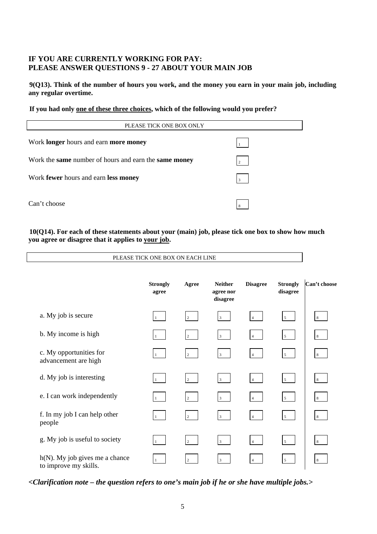# **IF YOU ARE CURRENTLY WORKING FOR PAY: PLEASE ANSWER QUESTIONS 9 - 27 ABOUT YOUR MAIN JOB**

**9(Q13). Think of the number of hours you work, and the money you earn in your main job, including any regular overtime.** 

#### **If you had only one of these three choices, which of the following would you prefer?**

| PLEASE TICK ONE BOX ONLY                                            |                |  |  |  |
|---------------------------------------------------------------------|----------------|--|--|--|
| Work <b>longer</b> hours and earn <b>more money</b>                 |                |  |  |  |
| Work the <b>same</b> number of hours and earn the <b>same money</b> | $\mathcal{L}$  |  |  |  |
| Work fewer hours and earn less money                                | $\overline{3}$ |  |  |  |
| Can't choose                                                        | 8              |  |  |  |

## **10(Q14). For each of these statements about your (main) job, please tick one box to show how much you agree or disagree that it applies to your job.**

PLEASE TICK ONE BOX ON EACH LINE

|                                                            | <b>Strongly</b><br>agree | Agree          | <b>Neither</b><br>agree nor<br>disagree | <b>Disagree</b> | <b>Strongly</b><br>disagree | Can't choose    |
|------------------------------------------------------------|--------------------------|----------------|-----------------------------------------|-----------------|-----------------------------|-----------------|
| a. My job is secure                                        | $\mathbf{1}$             | 2              | $\overline{3}$                          | $\overline{4}$  | 5 <sup>5</sup>              | 8               |
| b. My income is high                                       |                          | $\overline{2}$ | $\overline{3}$                          | $\overline{4}$  | 5 <sup>5</sup>              | 8 <sup>8</sup>  |
| c. My opportunities for<br>advancement are high            | $\mathbf{1}$             | $\overline{2}$ | $\overline{3}$                          | $\overline{4}$  | 5 <sup>5</sup>              | 8               |
| d. My job is interesting                                   |                          | $\overline{2}$ | $\overline{3}$                          | $\overline{4}$  | 5 <sup>5</sup>              | $8\phantom{.}8$ |
| e. I can work independently                                | $\mathbf{1}$             | $\overline{2}$ | 3 <sup>1</sup>                          | $\overline{4}$  | 5 <sub>5</sub>              | 8               |
| f. In my job I can help other<br>people                    | $\mathbf{1}$             | $\overline{c}$ | $\overline{3}$                          | $\overline{4}$  | 5 <sup>5</sup>              | 8               |
| g. My job is useful to society                             | $\mathbf{1}$             | $\overline{2}$ | $\overline{3}$                          | $\overline{4}$  | 5 <sup>5</sup>              | 8 <sup>1</sup>  |
| $h(N)$ . My job gives me a chance<br>to improve my skills. |                          | $\overline{2}$ | 3                                       | $\overline{4}$  | 5                           | 8               |

*<Clarification note – the question refers to one's main job if he or she have multiple jobs.>*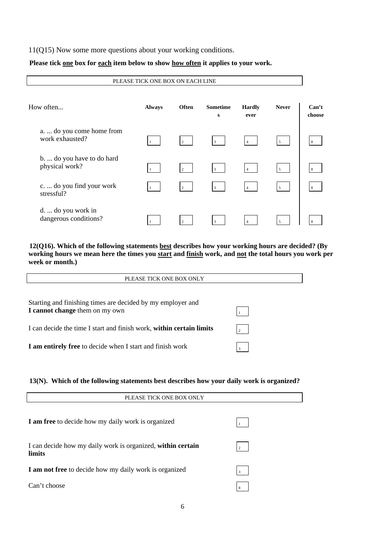## 11(Q15) Now some more questions about your working conditions.

## Please tick one box for each item below to show how often it applies to your work.

PLEASE TICK ONE BOX ON EACH LINE

| How often                                    | <b>Always</b> | <b>Often</b>   | <b>Sometime</b><br>$\bf{s}$ | <b>Hardly</b><br>ever | <b>Never</b>   | Can't<br>choose |
|----------------------------------------------|---------------|----------------|-----------------------------|-----------------------|----------------|-----------------|
| a.  do you come home from<br>work exhausted? |               | 2              | $\overline{3}$              | $\overline{4}$        | 5              | 8               |
| b.  do you have to do hard<br>physical work? |               | $\overline{c}$ | 3                           | $\overline{4}$        | 5              | 8               |
| c.  do you find your work<br>stressful?      |               | 2              | 3                           |                       | 5 <sup>5</sup> | 8               |
| d.  do you work in<br>dangerous conditions?  |               | 2              | 3                           |                       | $\overline{5}$ |                 |

**12(Q16). Which of the following statements best describes how your working hours are decided? (By working hours we mean here the times you start and finish work, and not the total hours you work per week or month.)** 

| PLEASE TICK ONE BOX ONLY                                                                      |                |
|-----------------------------------------------------------------------------------------------|----------------|
| Starting and finishing times are decided by my employer and<br>I cannot change them on my own |                |
| I can decide the time I start and finish work, within certain limits                          | $\overline{2}$ |
| <b>I</b> am entirely free to decide when I start and finish work                              | $\mathbf{3}$   |

## **13(N). Which of the following statements best describes how your daily work is organized?**

| PLEASE TICK ONE BOX ONLY                                              |                |  |
|-----------------------------------------------------------------------|----------------|--|
| I am free to decide how my daily work is organized                    |                |  |
| I can decide how my daily work is organized, within certain<br>limits | $\overline{2}$ |  |
| I am not free to decide how my daily work is organized                | 3              |  |
| Can't choose                                                          | 8              |  |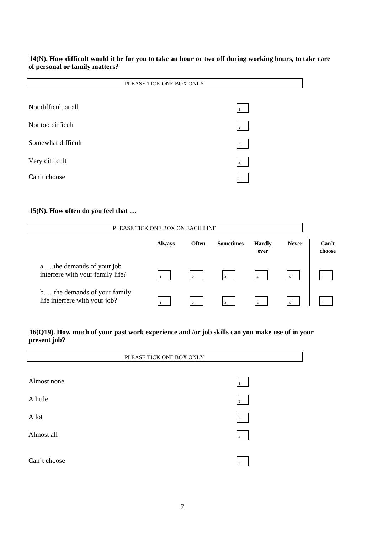## **14(N). How difficult would it be for you to take an hour or two off during working hours, to take care of personal or family matters?**

| PLEASE TICK ONE BOX ONLY |                |  |
|--------------------------|----------------|--|
|                          |                |  |
| Not difficult at all     |                |  |
| Not too difficult        | $\overline{2}$ |  |
| Somewhat difficult       | $\vert$ 3      |  |
| Very difficult           | $\overline{4}$ |  |
| Can't choose             | 8              |  |

## **15(N). How often do you feel that …**

| PLEASE TICK ONE BOX ON EACH LINE                              |               |              |                  |                       |              |                 |
|---------------------------------------------------------------|---------------|--------------|------------------|-----------------------|--------------|-----------------|
|                                                               | <b>Always</b> | <b>Often</b> | <b>Sometimes</b> | <b>Hardly</b><br>ever | <b>Never</b> | Can't<br>choose |
| a the demands of your job<br>interfere with your family life? |               | $\gamma$     | $\mathcal{R}$    |                       | 5            |                 |
| b the demands of your family<br>life interfere with your job? |               | $\sim$       |                  |                       |              |                 |

## **16(Q19). How much of your past work experience and /or job skills can you make use of in your present job?**

| PLEASE TICK ONE BOX ONLY |                         |  |
|--------------------------|-------------------------|--|
|                          |                         |  |
| Almost none              |                         |  |
| A little                 | 2                       |  |
| A lot                    | $\overline{\mathbf{3}}$ |  |
| Almost all               | $\overline{4}$          |  |
| Can't choose             | 8                       |  |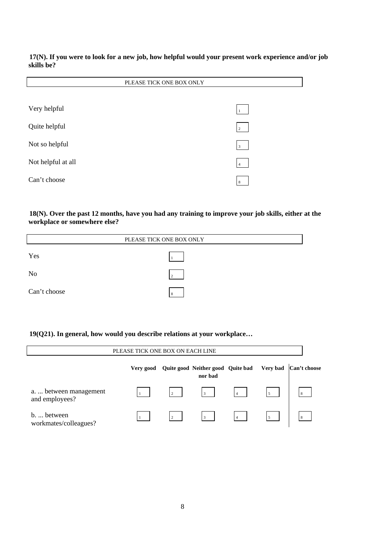**17(N). If you were to look for a new job, how helpful would your present work experience and/or job skills be?** 

|                    | PLEASE TICK ONE BOX ONLY |
|--------------------|--------------------------|
|                    |                          |
| Very helpful       |                          |
| Quite helpful      | $\overline{c}$           |
| Not so helpful     | $\overline{3}$           |
| Not helpful at all | $\overline{4}$           |
| Can't choose       | 8                        |

**18(N). Over the past 12 months, have you had any training to improve your job skills, either at the workplace or somewhere else?** 

| PLEASE TICK ONE BOX ONLY |        |  |
|--------------------------|--------|--|
| Yes                      |        |  |
| <b>No</b>                | $\sim$ |  |
| Can't choose             |        |  |

**19(Q21). In general, how would you describe relations at your workplace…** 

| PLEASE TICK ONE BOX ON EACH LINE         |           |                |                                              |                |          |              |
|------------------------------------------|-----------|----------------|----------------------------------------------|----------------|----------|--------------|
|                                          | Very good |                | Quite good Neither good Quite bad<br>nor bad |                | Very bad | Can't choose |
| a.  between management<br>and employees? |           | $\overline{2}$ | 3 <sup>1</sup>                               | $\overline{4}$ | 5        |              |
| b.  between<br>workmates/colleagues?     |           | $\gamma$       | $\mathcal{R}$                                |                | 5        |              |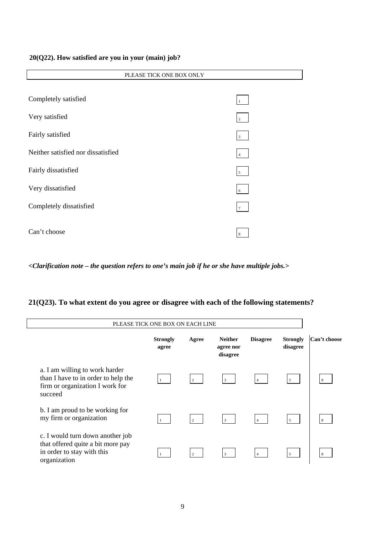#### **20(Q22). How satisfied are you in your (main) job?**

| PLEASE TICK ONE BOX ONLY           |                 |  |
|------------------------------------|-----------------|--|
|                                    |                 |  |
| Completely satisfied               | $1\,$           |  |
| Very satisfied                     | $\overline{2}$  |  |
| Fairly satisfied                   | 3 <sup>1</sup>  |  |
| Neither satisfied nor dissatisfied | 4               |  |
| Fairly dissatisfied                | 5 <sup>5</sup>  |  |
| Very dissatisfied                  | $6\overline{6}$ |  |
| Completely dissatisfied            | $7\overline{ }$ |  |
| Can't choose                       | 8               |  |

*<Clarification note – the question refers to one's main job if he or she have multiple jobs.>* 

#### PLEASE TICK ONE BOX ON EACH LINE **Strongly agree Agree Neither agree nor disagree Disagree Strongly disagree Can't choose** a. I am willing to work harder than I have to in order to help the firm or organization I work for succeed 1 2 3 4 5 8 b. I am proud to be working for my firm or organization  $\sqrt{2}$   $\sqrt{3}$   $\sqrt{4}$ c. I would turn down another job that offered quite a bit more pay in order to stay with this organization  $\frac{1}{2}$   $\frac{3}{3}$   $\frac{4}{4}$   $\frac{5}{5}$   $\frac{8}{8}$

## **21(Q23). To what extent do you agree or disagree with each of the following statements?**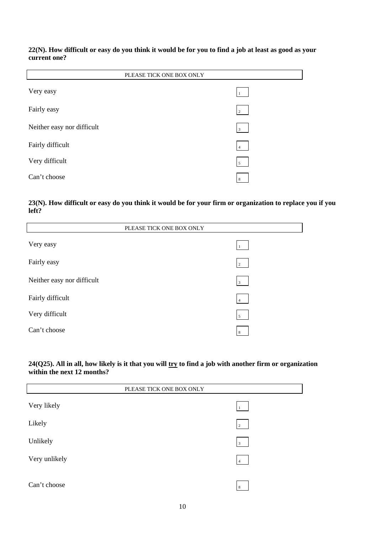#### **22(N). How difficult or easy do you think it would be for you to find a job at least as good as your current one?**

| PLEASE TICK ONE BOX ONLY   |                |  |
|----------------------------|----------------|--|
| Very easy                  |                |  |
| Fairly easy                | $\overline{2}$ |  |
| Neither easy nor difficult | $\overline{3}$ |  |
| Fairly difficult           | $\overline{4}$ |  |
| Very difficult             | $\overline{5}$ |  |
| Can't choose               | 8              |  |

## **23(N). How difficult or easy do you think it would be for your firm or organization to replace you if you left?**

| PLEASE TICK ONE BOX ONLY   |                |  |
|----------------------------|----------------|--|
| Very easy                  | 1              |  |
| Fairly easy                | $\overline{2}$ |  |
| Neither easy nor difficult | $\overline{3}$ |  |
| Fairly difficult           | $\overline{4}$ |  |
| Very difficult             | $\overline{5}$ |  |
| Can't choose               | 8              |  |

## **24(Q25). All in all, how likely is it that you will try to find a job with another firm or organization within the next 12 months?**

| PLEASE TICK ONE BOX ONLY |                 |  |
|--------------------------|-----------------|--|
| Very likely              | $11 -$          |  |
| Likely                   | $\overline{2}$  |  |
| Unlikely                 | 3 <sup>1</sup>  |  |
| Very unlikely            | $\vert 4 \vert$ |  |
| Can't choose             | 8               |  |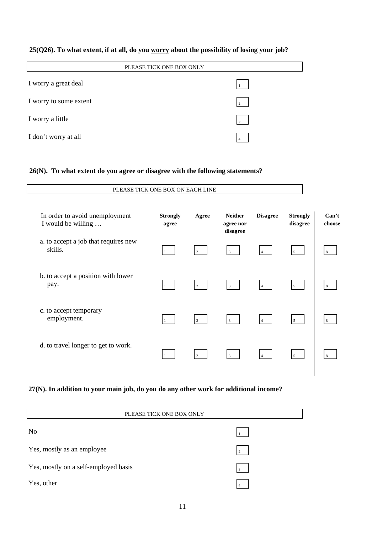# **25(Q26). To what extent, if at all, do you worry about the possibility of losing your job?**

| PLEASE TICK ONE BOX ONLY |                |  |
|--------------------------|----------------|--|
| I worry a great deal     |                |  |
| I worry to some extent   | 2              |  |
| I worry a little         | $\overline{3}$ |  |
| I don't worry at all     |                |  |

## **26(N). To what extent do you agree or disagree with the following statements?**

|                                                      | PLEASE TICK ONE BOX ON EACH LINE |                |                                         |                 |                             |                 |
|------------------------------------------------------|----------------------------------|----------------|-----------------------------------------|-----------------|-----------------------------|-----------------|
| In order to avoid unemployment<br>I would be willing | <b>Strongly</b><br>agree         | Agree          | <b>Neither</b><br>agree nor<br>disagree | <b>Disagree</b> | <b>Strongly</b><br>disagree | Can't<br>choose |
| a. to accept a job that requires new<br>skills.      |                                  | $\overline{2}$ | $\overline{3}$                          |                 | 5 <sup>5</sup>              | 8               |
| b. to accept a position with lower<br>pay.           |                                  | $\overline{2}$ | $\overline{3}$                          |                 | 5 <sup>5</sup>              | 8               |
| c. to accept temporary<br>employment.                |                                  | 2              | $\overline{3}$                          |                 | $5^{\circ}$                 | 8               |
| d. to travel longer to get to work.                  |                                  | $\overline{2}$ | $\overline{3}$                          |                 | 5 <sup>5</sup>              | 8               |
|                                                      |                                  |                |                                         |                 |                             |                 |

# **27(N). In addition to your main job, do you do any other work for additional income?**

| PLEASE TICK ONE BOX ONLY             |                |  |  |
|--------------------------------------|----------------|--|--|
| N <sub>o</sub>                       |                |  |  |
| Yes, mostly as an employee           | $\overline{2}$ |  |  |
| Yes, mostly on a self-employed basis | 3              |  |  |
| Yes, other                           |                |  |  |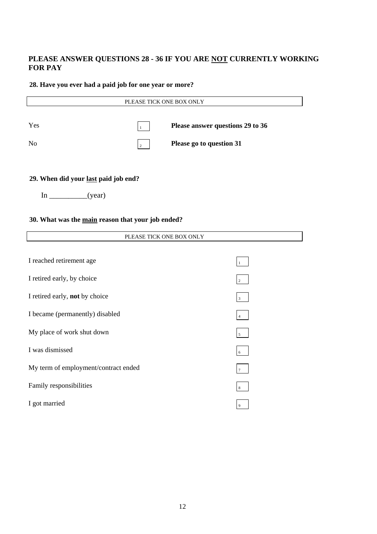# **PLEASE ANSWER QUESTIONS 28 - 36 IF YOU ARE NOT CURRENTLY WORKING FOR PAY**

## **28. Have you ever had a paid job for one year or more?**

| PLEASE TICK ONE BOX ONLY |               |                                  |  |
|--------------------------|---------------|----------------------------------|--|
| Yes                      |               | Please answer questions 29 to 36 |  |
| N <sub>o</sub>           | $\mathcal{L}$ | Please go to question 31         |  |
|                          |               |                                  |  |

# **29. When did your last paid job end?**

| n | 7е ат |
|---|-------|
|---|-------|

 $\overline{1}$ 

## **30. What was the main reason that your job ended?**

| PLEASE TICK ONE BOX ONLY             |                |  |
|--------------------------------------|----------------|--|
|                                      |                |  |
| I reached retirement age             |                |  |
| I retired early, by choice           | 2              |  |
| I retired early, not by choice       | 3              |  |
| I became (permanently) disabled      |                |  |
| My place of work shut down           | $\mathfrak{s}$ |  |
| I was dismissed                      | 6              |  |
| My term of employment/contract ended | 7              |  |
| Family responsibilities              | 8              |  |
| I got married                        | 9              |  |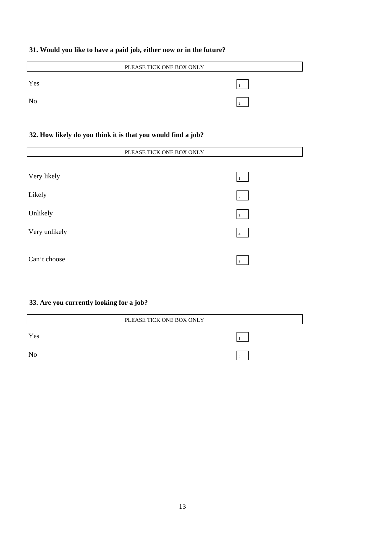# **31. Would you like to have a paid job, either now or in the future?**

| PLEASE TICK ONE BOX ONLY |  |  |
|--------------------------|--|--|
| Yes                      |  |  |
| N <sub>o</sub>           |  |  |
|                          |  |  |

# **32. How likely do you think it is that you would find a job?**

| PLEASE TICK ONE BOX ONLY |                    |  |
|--------------------------|--------------------|--|
|                          |                    |  |
| Very likely              | $\mathbf{1}_{1}$ . |  |
| Likely                   | $\overline{2}$     |  |
| Unlikely                 | $\overline{3}$     |  |
| Very unlikely            | 4                  |  |
| Can't choose             | 8                  |  |

# **33. Are you currently looking for a job?**

|     | PLEASE TICK ONE BOX ONLY |
|-----|--------------------------|
| Yes |                          |
| No  |                          |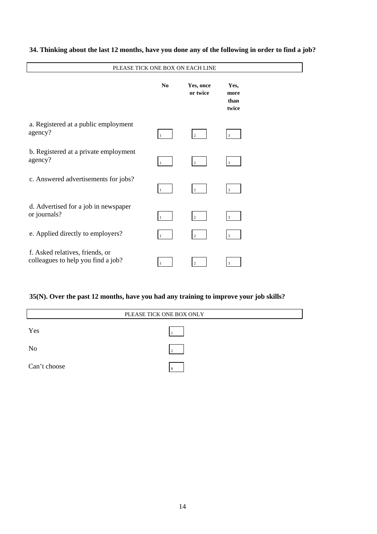| PLEASE TICK ONE BOX ON EACH LINE                                      |              |                       |                               |  |
|-----------------------------------------------------------------------|--------------|-----------------------|-------------------------------|--|
|                                                                       | No           | Yes, once<br>or twice | Yes,<br>more<br>than<br>twice |  |
| a. Registered at a public employment<br>agency?                       | $\mathbf{1}$ | $\overline{2}$        | 3                             |  |
| b. Registered at a private employment<br>agency?                      | $\mathbf{1}$ | $\overline{2}$        | 3                             |  |
| c. Answered advertisements for jobs?                                  | $\mathbf{1}$ | 2                     | $\mathbf{3}$                  |  |
| d. Advertised for a job in newspaper<br>or journals?                  | $\mathbf{1}$ | $\overline{2}$        | 3                             |  |
| e. Applied directly to employers?                                     |              | $\overline{2}$        | 3                             |  |
| f. Asked relatives, friends, or<br>colleagues to help you find a job? | 1            | $\overline{2}$        | 3                             |  |

# **34. Thinking about the last 12 months, have you done any of the following in order to find a job?**

# **35(N). Over the past 12 months, have you had any training to improve your job skills?**

| PLEASE TICK ONE BOX ONLY |  |  |
|--------------------------|--|--|
| Yes                      |  |  |
| N <sub>o</sub>           |  |  |
| Can't choose             |  |  |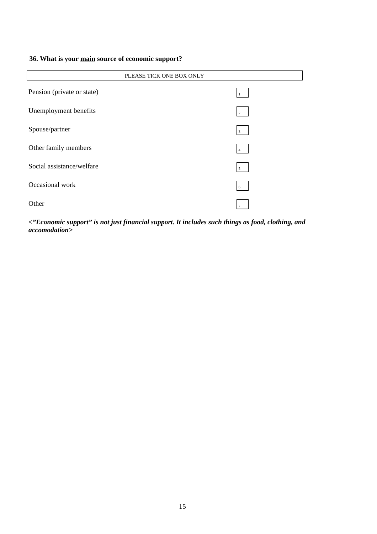# **36. What is your main source of economic support?**

| PLEASE TICK ONE BOX ONLY   |                 |  |  |
|----------------------------|-----------------|--|--|
| Pension (private or state) |                 |  |  |
| Unemployment benefits      | $\overline{2}$  |  |  |
| Spouse/partner             | $\overline{3}$  |  |  |
| Other family members       | $\overline{4}$  |  |  |
| Social assistance/welfare  | $5\overline{)}$ |  |  |
| Occasional work            | 6               |  |  |
| Other                      |                 |  |  |

*<"Economic support" is not just financial support. It includes such things as food, clothing, and accomodation>*